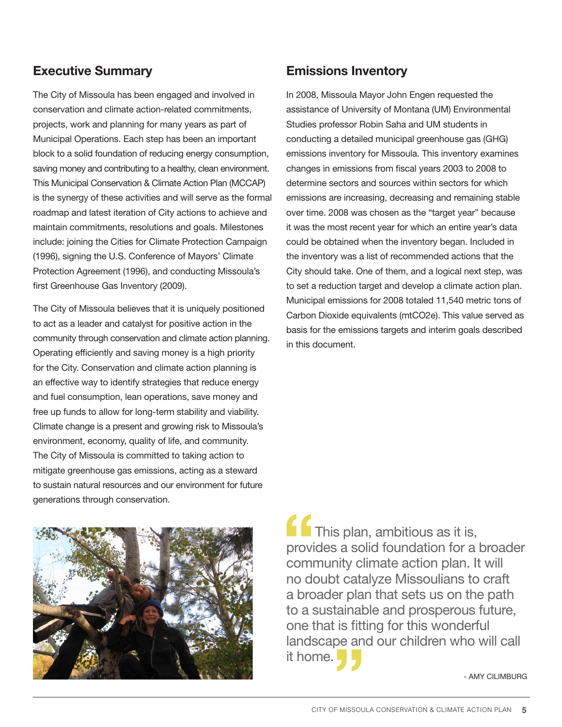# Executive Summary

The City of Missoula has been engaged and involved in conservation and climate action-related commitments, projects, work and planning for many years as part of Municipal Operations. Each step has been an important block to a solid foundation of reducing energy consumption, saving money and contributing to a healthy, clean environment. This Municipal Conservation & Climate Action Plan (MCCAP) is the synergy of these activities and will serve as the formal roadmap and latest iteration of City actions to achieve and maintain commitments, resolutions and goals. Milestones include: joining the Cities for Climate Protection Campaign (1996), signing the U.S. Conference of Mayors' Climate Protection Agreement (1996), and conducting Missoula's first Greenhouse Gas Inventory (2009).

The City of Missoula believes that it is uniquely positioned to act as a leader and catalyst for positive action in the community through conservation and climate action planning. Operating efficiently and saving money is a high priority for the City. Conservation and climate action planning is an effective way to identify strategies that reduce energy and fuel consumption, lean operations, save money and free up funds to allow for long-term stability and viability. Climate change is a present and growing risk to Missoula's environment, economy, quality of life, and community. The City of Missoula is committed to taking action to mitigate greenhouse gas emissions, acting as a steward to sustain natural resources and our environment for future generations through conservation.

# Emissions Inventory

In 2008, Missoula Mayor John Engen requested the assistance of University of Montana (UM) Environmental Studies professor Robin Saha and UM students in conducting a detailed municipal greenhouse gas (GHG) emissions inventory for Missoula. This inventory examines changes in emissions from fiscal years 2003 to 2008 to determine sectors and sources within sectors for which emissions are increasing, decreasing and remaining stable over time. 2008 was chosen as the "target year" because it was the most recent year for which an entire year's data could be obtained when the inventory began. Included in the inventory was a list of recommended actions that the City should take. One of them, and a logical next step, was to set a reduction target and develop a climate action plan. Municipal emissions for 2008 totaled 11,540 metric tons of Carbon Dioxide equivalents (mtCO2e). This value served as basis for the emissions targets and interim goals described in this document.



**This plan, ambitious as it is,** provides a solid foundation for a broader community climate action plan. It will no doubt catalyze Missoulians to craft a broader plan that sets us on the path to a sustainable and prosperous future, one that is fitting for this wonderful landscape and our children who will call it home.

- Amy Cilimburg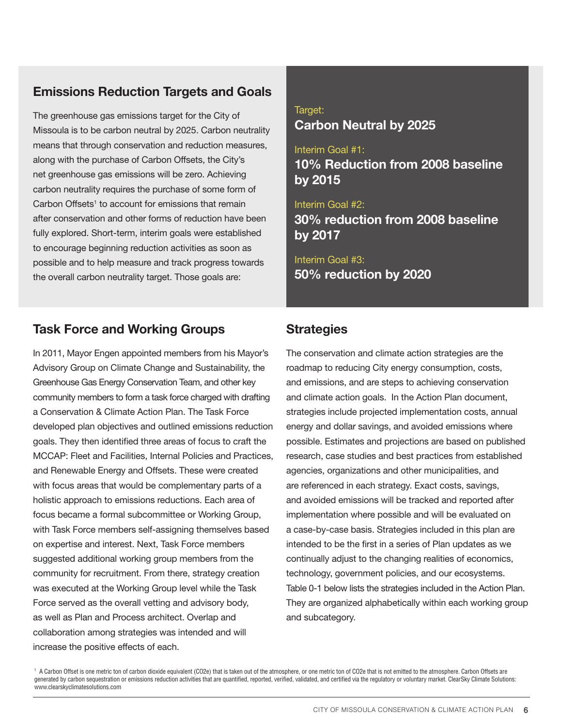# Emissions Reduction Targets and Goals

The greenhouse gas emissions target for the City of Missoula is to be carbon neutral by 2025. Carbon neutrality means that through conservation and reduction measures, along with the purchase of Carbon Offsets, the City's net greenhouse gas emissions will be zero. Achieving carbon neutrality requires the purchase of some form of Carbon Offsets<sup>1</sup> to account for emissions that remain after conservation and other forms of reduction have been fully explored. Short-term, interim goals were established to encourage beginning reduction activities as soon as possible and to help measure and track progress towards the overall carbon neutrality target. Those goals are:

# Task Force and Working Groups

In 2011, Mayor Engen appointed members from his Mayor's Advisory Group on Climate Change and Sustainability, the Greenhouse Gas Energy Conservation Team, and other key community members to form a task force charged with drafting a Conservation & Climate Action Plan. The Task Force developed plan objectives and outlined emissions reduction goals. They then identified three areas of focus to craft the MCCAP: Fleet and Facilities, Internal Policies and Practices, and Renewable Energy and Offsets. These were created with focus areas that would be complementary parts of a holistic approach to emissions reductions. Each area of focus became a formal subcommittee or Working Group, with Task Force members self-assigning themselves based on expertise and interest. Next, Task Force members suggested additional working group members from the community for recruitment. From there, strategy creation was executed at the Working Group level while the Task Force served as the overall vetting and advisory body, as well as Plan and Process architect. Overlap and collaboration among strategies was intended and will increase the positive effects of each.

## Target: Carbon Neutral by 2025

Interim Goal #1: 10% Reduction from 2008 baseline by 2015

Interim Goal #2: 30% reduction from 2008 baseline by 2017

Interim Goal #3: 50% reduction by 2020

# **Strategies**

The conservation and climate action strategies are the roadmap to reducing City energy consumption, costs, and emissions, and are steps to achieving conservation and climate action goals. In the Action Plan document, strategies include projected implementation costs, annual energy and dollar savings, and avoided emissions where possible. Estimates and projections are based on published research, case studies and best practices from established agencies, organizations and other municipalities, and are referenced in each strategy. Exact costs, savings, and avoided emissions will be tracked and reported after implementation where possible and will be evaluated on a case-by-case basis. Strategies included in this plan are intended to be the first in a series of Plan updates as we continually adjust to the changing realities of economics, technology, government policies, and our ecosystems. Table 0-1 below lists the strategies included in the Action Plan. They are organized alphabetically within each working group and subcategory.

 $^{\rm \tiny 1}$  A Carbon Offset is one metric ton of carbon dioxide equivalent (CO2e) that is taken out of the atmosphere, or one metric ton of CO2e that is not emitted to the atmosphere. Carbon Offsets are generated by carbon sequestration or emissions reduction activities that are quantified, reported, verified, validated, and certified via the regulatory or voluntary market. ClearSky Climate Solutions: www.clearskyclimatesolutions.com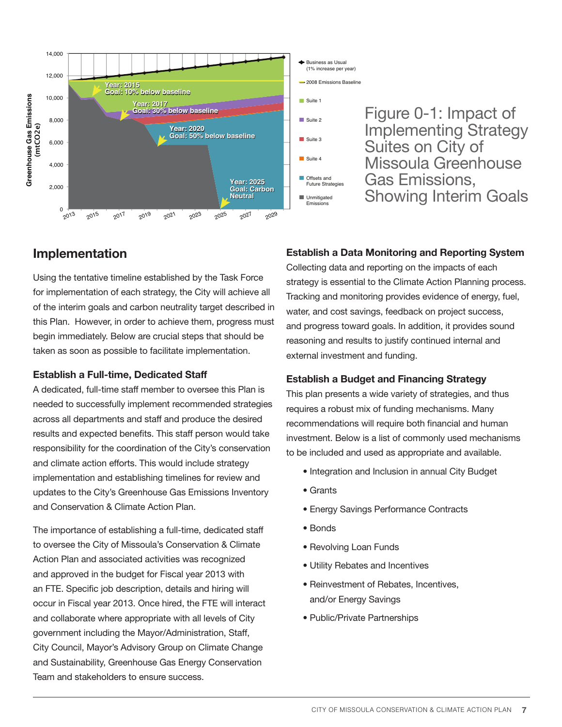

# Implementation

Using the tentative timeline established by the Task Force for implementation of each strategy, the City will achieve all of the interim goals and carbon neutrality target described in this Plan. However, in order to achieve them, progress must begin immediately. Below are crucial steps that should be taken as soon as possible to facilitate implementation.

#### Establish a Full-time, Dedicated Staff

A dedicated, full-time staff member to oversee this Plan is needed to successfully implement recommended strategies across all departments and staff and produce the desired results and expected benefits. This staff person would take responsibility for the coordination of the City's conservation and climate action efforts. This would include strategy implementation and establishing timelines for review and updates to the City's Greenhouse Gas Emissions Inventory and Conservation & Climate Action Plan.

The importance of establishing a full-time, dedicated staff to oversee the City of Missoula's Conservation & Climate Action Plan and associated activities was recognized and approved in the budget for Fiscal year 2013 with an FTE. Specific job description, details and hiring will occur in Fiscal year 2013. Once hired, the FTE will interact and collaborate where appropriate with all levels of City government including the Mayor/Administration, Staff, City Council, Mayor's Advisory Group on Climate Change and Sustainability, Greenhouse Gas Energy Conservation Team and stakeholders to ensure success.

### Establish a Data Monitoring and Reporting System

Collecting data and reporting on the impacts of each strategy is essential to the Climate Action Planning process. Tracking and monitoring provides evidence of energy, fuel, water, and cost savings, feedback on project success, and progress toward goals. In addition, it provides sound reasoning and results to justify continued internal and external investment and funding.

### Establish a Budget and Financing Strategy

This plan presents a wide variety of strategies, and thus requires a robust mix of funding mechanisms. Many recommendations will require both financial and human investment. Below is a list of commonly used mechanisms to be included and used as appropriate and available.

- Integration and Inclusion in annual City Budget
- Grants
- Energy Savings Performance Contracts
- Bonds
- Revolving Loan Funds
- Utility Rebates and Incentives
- Reinvestment of Rebates, Incentives, and/or Energy Savings
- Public/Private Partnerships